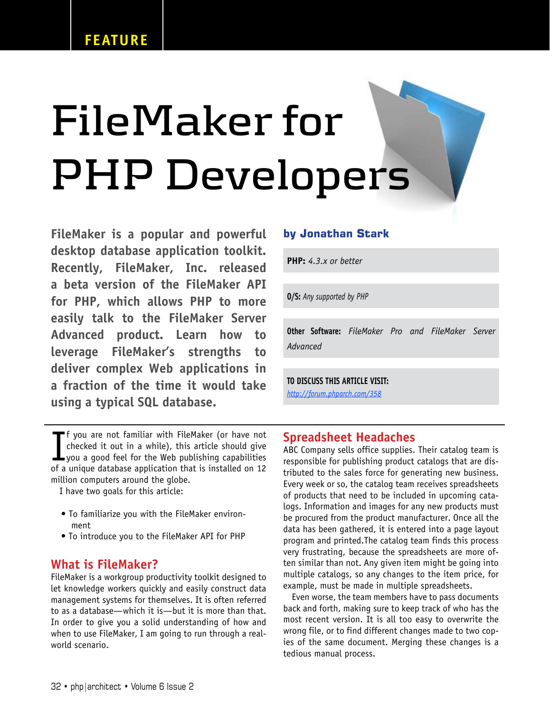# **FileMaker for PHP Developers**

FileMaker is a popular and powerful desktop database application toolkit. Recently, FileMaker, Inc. released a beta version of the FileMaker API for PHP, which allows PHP to more easily talk to the FileMaker Server Advanced product. Learn how to leverage FileMaker's strengths to deliver complex Web applications in a fraction of the time it would take using a typical SQL database.

If you are not familiar with FileMaker (or have not<br>checked it out in a while), this article should give<br>you a good feel for the Web publishing capabilities<br>of a unique database application that is installed on 12 f you are not familiar with FileMaker (or have not checked it out in a while), this article should give of a unique database application that is installed on 12 million computers around the globe.

I have two goals for this article:

- To familiarize you with the FileMaker environment
- To introduce you to the FileMaker API for PHP

### What is FileMaker?

FileMaker is a workgroup productivity toolkit designed to let knowledge workers quickly and easily construct data management systems for themselves. It is often referred to as a database—which it is—but it is more than that. In order to give you a solid understanding of how and when to use FileMaker, I am going to run through a realworld scenario.

### **by Jonathan Stark**

**PHP:** *4.3.x or better*

**O/S:** *Any supported by PHP*

**Other Software:** *FileMaker Pro and FileMaker Server Advanced*

**TO DISCUSS THIS ARTICLE VISIT:**

*<http://forum.phparch.com/358>*

### Spreadsheet Headaches

ABC Company sells office supplies. Their catalog team is responsible for publishing product catalogs that are distributed to the sales force for generating new business. Every week or so, the catalog team receives spreadsheets of products that need to be included in upcoming catalogs. Information and images for any new products must be procured from the product manufacturer. Once all the data has been gathered, it is entered into a page layout program and printed.The catalog team finds this process very frustrating, because the spreadsheets are more often similar than not. Any given item might be going into multiple catalogs, so any changes to the item price, for example, must be made in multiple spreadsheets.

Even worse, the team members have to pass documents back and forth, making sure to keep track of who has the most recent version. It is all too easy to overwrite the wrong file, or to find different changes made to two copies of the same document. Merging these changes is a tedious manual process.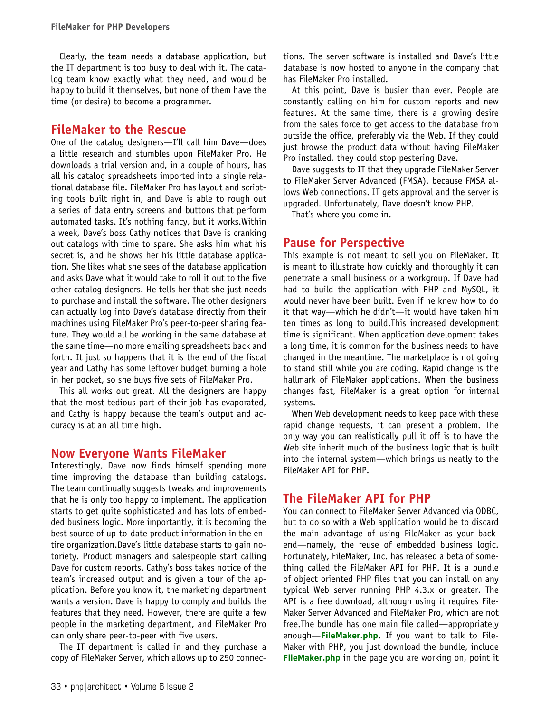Clearly, the team needs a database application, but the IT department is too busy to deal with it. The catalog team know exactly what they need, and would be happy to build it themselves, but none of them have the time (or desire) to become a programmer.

### FileMaker to the Rescue

One of the catalog designers—I'll call him Dave—does a little research and stumbles upon FileMaker Pro. He downloads a trial version and, in a couple of hours, has all his catalog spreadsheets imported into a single relational database file. FileMaker Pro has layout and scripting tools built right in, and Dave is able to rough out a series of data entry screens and buttons that perform automated tasks. It's nothing fancy, but it works.Within a week, Dave's boss Cathy notices that Dave is cranking out catalogs with time to spare. She asks him what his secret is, and he shows her his little database application. She likes what she sees of the database application and asks Dave what it would take to roll it out to the five other catalog designers. He tells her that she just needs to purchase and install the software. The other designers can actually log into Dave's database directly from their machines using FileMaker Pro's peer-to-peer sharing feature. They would all be working in the same database at the same time—no more emailing spreadsheets back and forth. It just so happens that it is the end of the fiscal year and Cathy has some leftover budget burning a hole in her pocket, so she buys five sets of FileMaker Pro.

This all works out great. All the designers are happy that the most tedious part of their job has evaporated, and Cathy is happy because the team's output and accuracy is at an all time high.

### Now Everyone Wants FileMaker

Interestingly, Dave now finds himself spending more time improving the database than building catalogs. The team continually suggests tweaks and improvements that he is only too happy to implement. The application starts to get quite sophisticated and has lots of embedded business logic. More importantly, it is becoming the best source of up-to-date product information in the entire organization.Dave's little database starts to gain notoriety. Product managers and salespeople start calling Dave for custom reports. Cathy's boss takes notice of the team's increased output and is given a tour of the application. Before you know it, the marketing department wants a version. Dave is happy to comply and builds the features that they need. However, there are quite a few people in the marketing department, and FileMaker Pro can only share peer-to-peer with five users.

The IT department is called in and they purchase a copy of FileMaker Server, which allows up to 250 connections. The server software is installed and Dave's little database is now hosted to anyone in the company that has FileMaker Pro installed.

At this point, Dave is busier than ever. People are constantly calling on him for custom reports and new features. At the same time, there is a growing desire from the sales force to get access to the database from outside the office, preferably via the Web. If they could just browse the product data without having FileMaker Pro installed, they could stop pestering Dave.

Dave suggests to IT that they upgrade FileMaker Server to FileMaker Server Advanced (FMSA), because FMSA allows Web connections. IT gets approval and the server is upgraded. Unfortunately, Dave doesn't know PHP.

That's where you come in.

### Pause for Perspective

This example is not meant to sell you on FileMaker. It is meant to illustrate how quickly and thoroughly it can penetrate a small business or a workgroup. If Dave had had to build the application with PHP and MySQL, it would never have been built. Even if he knew how to do it that way—which he didn't—it would have taken him ten times as long to build.This increased development time is significant. When application development takes a long time, it is common for the business needs to have changed in the meantime. The marketplace is not going to stand still while you are coding. Rapid change is the hallmark of FileMaker applications. When the business changes fast, FileMaker is a great option for internal systems.

When Web development needs to keep pace with these rapid change requests, it can present a problem. The only way you can realistically pull it off is to have the Web site inherit much of the business logic that is built into the internal system—which brings us neatly to the FileMaker API for PHP.

### The FileMaker API for PHP

You can connect to FileMaker Server Advanced via ODBC, but to do so with a Web application would be to discard the main advantage of using FileMaker as your backend—namely, the reuse of embedded business logic. Fortunately, FileMaker, Inc. has released a beta of something called the FileMaker API for PHP. It is a bundle of object oriented PHP files that you can install on any typical Web server running PHP 4.3.x or greater. The API is a free download, although using it requires File-Maker Server Advanced and FileMaker Pro, which are not free.The bundle has one main file called—appropriately enough—**FileMaker.php**. If you want to talk to File-Maker with PHP, you just download the bundle, include **FileMaker.php** in the page you are working on, point it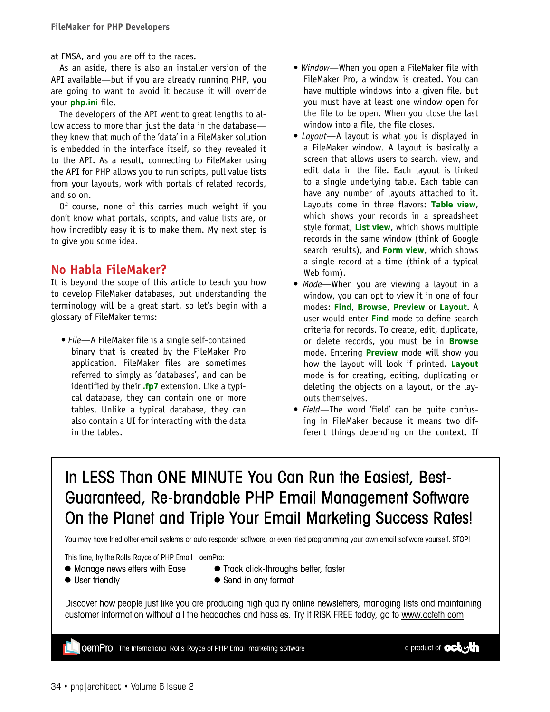at FMSA, and you are off to the races.

As an aside, there is also an installer version of the API available—but if you are already running PHP, you are going to want to avoid it because it will override your **php.ini** file.

The developers of the API went to great lengths to allow access to more than just the data in the database they knew that much of the 'data' in a FileMaker solution is embedded in the interface itself, so they revealed it to the API. As a result, connecting to FileMaker using the API for PHP allows you to run scripts, pull value lists from your layouts, work with portals of related records, and so on.

Of course, none of this carries much weight if you don't know what portals, scripts, and value lists are, or how incredibly easy it is to make them. My next step is to give you some idea.

# No Habla FileMaker?

It is beyond the scope of this article to teach you how to develop FileMaker databases, but understanding the terminology will be a great start, so let's begin with a glossary of FileMaker terms:

• File—A FileMaker file is a single self-contained binary that is created by the FileMaker Pro application. FileMaker files are sometimes referred to simply as 'databases', and can be identified by their **.fp7** extension. Like a typical database, they can contain one or more tables. Unlike a typical database, they can also contain a UI for interacting with the data in the tables.

- Window-When you open a FileMaker file with FileMaker Pro, a window is created. You can have multiple windows into a given file, but you must have at least one window open for the file to be open. When you close the last window into a file, the file closes.
- Layout—A layout is what you is displayed in a FileMaker window. A layout is basically a screen that allows users to search, view, and edit data in the file. Each layout is linked to a single underlying table. Each table can have any number of layouts attached to it. Layouts come in three flavors: **Table view**, which shows your records in a spreadsheet style format, **List view**, which shows multiple records in the same window (think of Google search results), and **Form view**, which shows a single record at a time (think of a typical Web form).
- Mode—When you are viewing a layout in a window, you can opt to view it in one of four modes: **Find**, **Browse**, **Preview** or **Layout**. A user would enter **Find** mode to define search criteria for records. To create, edit, duplicate, or delete records, you must be in **Browse** mode. Entering **Preview** mode will show you how the layout will look if printed. **Layout** mode is for creating, editing, duplicating or deleting the objects on a layout, or the layouts themselves.
- Field—The word 'field' can be quite confusing in FileMaker because it means two different things depending on the context. If

# In LESS Than ONE MINUTE You Can Run the Easiest, Best-Guaranteed, Re-brandable PHP Email Management Software On the Planet and Triple Your Email Marketing Success Rates!

You may have tried other email systems or auto-responder software, or even tried programming your own email software yourself. STOP!

This time, try the Rolls-Royce of PHP Email - oemPro:

- Manage newsletters with Ease
- User friendly
- Track click-throughs better, faster
- Send in any format
- Discover how people just like you are producing high quality online newsletters, managing lists and maintaining customer information without all the headaches and hassles. Try it RISK FREE today, go to www.octeth.com

**OemPro** The International Rolls-Royce of PHP Email marketing software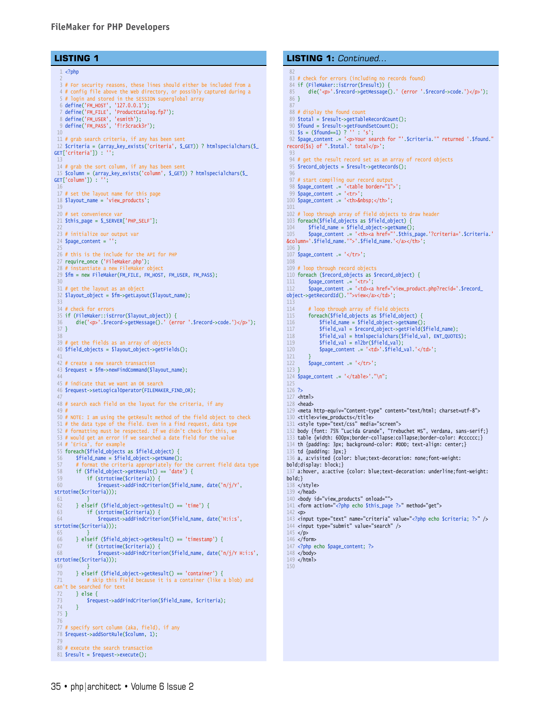### FileMaker for PHP Developers

### **LISTING 1**

```
1 <?php
 2
   3 # For security reasons, these lines should either be included from a 
   4 # config file above the Web directory, or possibly captured during a 
5 # login and stored in the SESSION superglobal array<br>6 define('FM_HOST', '127.0.0.1');<br>7 define('FM_FILE', 'ProductCatalog.fp7');<br>8 define('FM_PASS', 'f!r3crack3r');<br>9 define('FM_PASS', 'f!r3crack3r');
 11 # grab search criteria, if any has been sent
 12 $criteria = (array_key_exists('criteria', $_GET)) ? htmlspecialchars($_
GET['criterion']) :
 13
 14 # grab the sort column, if any has been sent
 15 $column = (array_key_exists('column', $_GET)) ? htmlspecialchars($_
GET['column']) : '';
 16
17 # set the layout name for this page
 18 $layout_name = 'view_products';
 19
 20 # set convenience var
 21 $this_page = $_SERVER['PHP_SELF'];
 22
23 # initialize our output var
24 $page_content = '';
 25
 26 # this is the include for the API for PHP
 27 require_once ('FileMaker.php');
 28 # instantiate a new FileMaker object
 29 $fm = new FileMaker(FM_FILE, FM_HOST, FM_USER, FM_PASS);
 30
31 # get the layout as an object
 32 $layout_object = $fm->getLayout($layout_name);
 34 # check for errors
 35 if (FileMaker::isError($layout_object)) {<br>36 die('cn>' $record->getMessage() ' (ery
         die('<p>'.$record->getMessage().' (error '.$record->code.')</p>');
 37 }
 38
 39 # get the fields as an array of objects
 40 $field_objects = $layout_object->getFields();
 41
42 # create a new search transaction
 43 $request = $fm->newFindCommand($layout_name);
 44
 45 # indicate that we want an OR search
 46 $request->setLogicalOperator(FILEMAKER_FIND_OR);
 47
 48 # search each field on the layout for the criteria, if any
 49 #
 50 # NOTE: I am using the getResult method of the field object to check
 51 # the data type of the field. Even in a find request, data type
 52 # formatting must be respected. If we didn't check for this, we 
 53 # would get an error if we searched a date field for the value 
54 # 'Erica', for example
 55 foreach($field_objects as $field_object) {
 56 $field_name = $field_object->getName();<br>57 # format the criteria appropriately for
         # format the criteria appropriately for the current field data type
 58 if ($field_object->getResult() == 'date') {
59 if (strtotime($criteria)) {
 60 $request->addFindCriterion($field_name, date('n/j/Y', 
strtotime($criteria)));
 61 6262 } elseif ($field_object->getResult() == 'time') {<br>63 if (strtotime($criteria)) {
 63 if (strtotime($criteria)) {<br>for the straighterial streamst-saddEindCriterial
                  64 $request->addFindCriterion($field_name, date('H:i:s', 
strtotime($criteria)));
 65 }
66 } elseif ($field_object->getResult() == 'timestamp') {
67 if (strtotime($criteria)) {
 68 $request->addFindCriterion($field_name, date('n/j/Y H:i:s', 
strtotime($criteria)));
 69 }
 70 } elseif ($field_object->getResult() == 'container') {
 71 # skip this field because it is a container (like a blob) and 
can't be searched for text
 72 } else {<br>73 $requ
         $request->addFindCriterion($field_name, $criteria);
 74 } 
 75 }
 76
77 # specify sort column (aka, field), if any
 78 $request->addSortRule($column, 1);
 79
 80 # execute the search transaction
 81 $result = $request->execute();
```
#### # check for errors (including no records found) if (FileMaker::isError(\$result)) { 85 die('<p>'.\$record->getMessage().' (error '.\$record->code.')</p>'); } # display the found count \$total = \$result->getTableRecordCount(); \$found = \$result->getFoundSetCount(); \$s = (\$found==1) ? '' : 's'; 92 \$page\_content .= '<p>Your search for "'.\$criteria.'" returned '.\$found." record{\$s} of ".\$total.' total</p>'; # get the result record set as an array of record objects \$record\_objects = \$result->getRecords(); 97 # start compiling our record output \$page\_content .= '<table border="1">'; \$page\_content .= '<tr>'; 100  $\text{space\_content} = '<\text{th}>8nbsp;<\text{/th}>';$  # loop through array of field objects to draw header foreach(\$field\_objects as \$field\_object) { 104 \$field\_name = \$field\_object->getName(); 105 \$page\_content .= '<th><a href="'.\$this\_page.'?criteria='.\$criteria.' &column='.\$field\_name.'">'.\$field\_name.'</a></th>'; \$page\_content .= '</tr>'; # loop through record objects foreach (\$record\_objects as \$record\_object) { 111 \$page\_content .= '<tr>'; 112 \$page\_content .= '<td><a href="view\_product.php?recid='.\$record\_ object->getRecordId().'">view</a></td>';  $\frac{113}{114}$ 114 # loop through array of field objects<br>115 foreach(\$field objects as \$field obje 115 **foreach(\$field\_objects as \$field\_object)** {<br>116 **\$field name = \$field object->getName()** \$field\_name = \$field\_object->getName(); 117 \$field\_val = \$record\_object->getField(\$field\_name); 118 \$field\_val = htmlspecialchars(\$field\_val, ENT\_QUOTES); 119 \$field\_val = nl2br(\$field\_val); 120 \$page\_content = '<td>'.\$field\_val.'</td>';  $\frac{121}{122}$  $$page_countent = '~/tr>';$  } 124  $space_count = '*/table'$ . "\n"; ?>  $\lt$ html> 128 <head> <meta http-equiv="Content-type" content="text/html; charset=utf-8"> <title>view\_products</title> <style type="text/css" media="screen"> body {font: 75% "Lucida Grande", "Trebuchet MS", Verdana, sans-serif;} table {width: 600px;border-collapse:collapse;border-color: #cccccc;} 134 th {padding: 3px; background-color: #DDD; text-align: center;} td {padding: 3px;} a, a:visited {color: blue;text-decoration: none;font-weight: bold;display: block;} a:hover, a:active {color: blue;text-decoration: underline;font-weight: bold;} </style> </head> 140 <br />body id="view\_products" onload=""> <form action="<?php echo \$this\_page ?>" method="get"> <p> <input type="text" name="criteria" value="<?php echo \$criteria; ?>" /> 144 <input type="submit" value="search" />  $\times/n$ 146  $\lt$ /form> <?php echo \$page\_content; ?> 148 </body> </html> **LISTING 1: Continued...**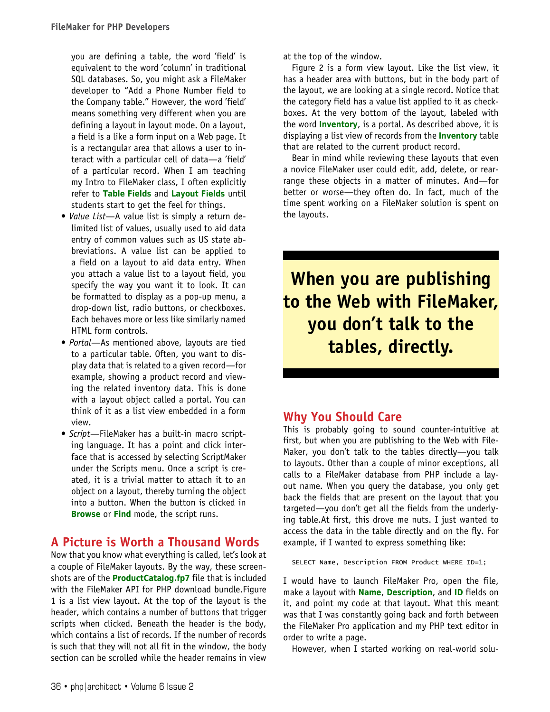you are defining a table, the word 'field' is equivalent to the word 'column' in traditional SQL databases. So, you might ask a FileMaker developer to "Add a Phone Number field to the Company table." However, the word 'field' means something very different when you are defining a layout in layout mode. On a layout, a field is a like a form input on a Web page. It is a rectangular area that allows a user to interact with a particular cell of data—a 'field' of a particular record. When I am teaching my Intro to FileMaker class, I often explicitly refer to **Table Fields** and **Layout Fields** until students start to get the feel for things.

- Value List—A value list is simply a return delimited list of values, usually used to aid data entry of common values such as US state abbreviations. A value list can be applied to a field on a layout to aid data entry. When you attach a value list to a layout field, you specify the way you want it to look. It can be formatted to display as a pop-up menu, a drop-down list, radio buttons, or checkboxes. Each behaves more or less like similarly named HTML form controls.
- Portal—As mentioned above, layouts are tied to a particular table. Often, you want to display data that is related to a given record—for example, showing a product record and viewing the related inventory data. This is done with a layout object called a portal. You can think of it as a list view embedded in a form view.
- Script-FileMaker has a built-in macro scripting language. It has a point and click interface that is accessed by selecting ScriptMaker under the Scripts menu. Once a script is created, it is a trivial matter to attach it to an object on a layout, thereby turning the object into a button. When the button is clicked in **Browse** or **Find** mode, the script runs.

# A Picture is Worth a Thousand Words

Now that you know what everything is called, let's look at a couple of FileMaker layouts. By the way, these screenshots are of the **ProductCatalog.fp7** file that is included with the FileMaker API for PHP download bundle.Figure 1 is a list view layout. At the top of the layout is the header, which contains a number of buttons that trigger scripts when clicked. Beneath the header is the body, which contains a list of records. If the number of records is such that they will not all fit in the window, the body section can be scrolled while the header remains in view

at the top of the window.

Figure 2 is a form view layout. Like the list view, it has a header area with buttons, but in the body part of the layout, we are looking at a single record. Notice that the category field has a value list applied to it as checkboxes. At the very bottom of the layout, labeled with the word **Inventory**, is a portal. As described above, it is displaying a list view of records from the **Inventory** table that are related to the current product record.

Bear in mind while reviewing these layouts that even a novice FileMaker user could edit, add, delete, or rearrange these objects in a matter of minutes. And—for better or worse—they often do. In fact, much of the time spent working on a FileMaker solution is spent on the layouts.

**When you are publishing to the Web with FileMaker, you don't talk to the tables, directly.**

### Why You Should Care

This is probably going to sound counter-intuitive at first, but when you are publishing to the Web with File-Maker, you don't talk to the tables directly—you talk to layouts. Other than a couple of minor exceptions, all calls to a FileMaker database from PHP include a layout name. When you query the database, you only get back the fields that are present on the layout that you targeted—you don't get all the fields from the underlying table.At first, this drove me nuts. I just wanted to access the data in the table directly and on the fly. For example, if I wanted to express something like:

SELECT Name, Description FROM Product WHERE ID=1;

I would have to launch FileMaker Pro, open the file, make a layout with **Name**, **Description**, and **ID** fields on it, and point my code at that layout. What this meant was that I was constantly going back and forth between the FileMaker Pro application and my PHP text editor in order to write a page.

However, when I started working on real-world solu-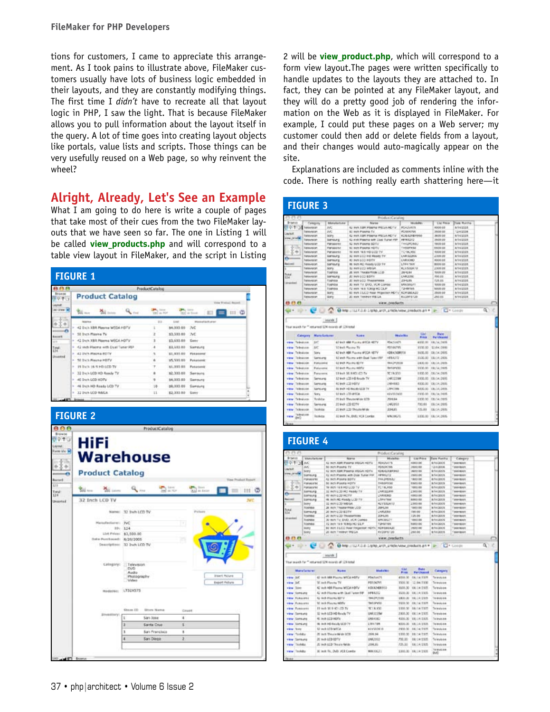tions for customers, I came to appreciate this arrangement. As I took pains to illustrate above, FileMaker customers usually have lots of business logic embedded in their layouts, and they are constantly modifying things. The first time I didn't have to recreate all that layout logic in PHP, I saw the light. That is because FileMaker allows you to pull information about the layout itself in the query. A lot of time goes into creating layout objects like portals, value lists and scripts. Those things can be very usefully reused on a Web page, so why reinvent the wheel?

# Alright, Already, Let's See an Example

What I am going to do here is write a couple of pages that take most of their cues from the two FileMaker layouts that we have seen so far. The one in Listing 1 will be called **view products.php** and will correspond to a table view layout in FileMaker, and the script in Listing

|                                                          | <b>ProductCatalog</b> |                     |                                                     |  |
|----------------------------------------------------------|-----------------------|---------------------|-----------------------------------------------------|--|
| <b>Product Catalog</b>                                   |                       |                     |                                                     |  |
| $Q_{\text{max}}$<br><b>Mail Joseph</b><br><b>William</b> | yan as not            |                     | Vide Wednel Report<br><b>The Lines</b><br>$III$ $Q$ |  |
| <b>REGISTER</b>                                          | $\frac{1}{2}$         | 4.041               | <b>Hisapharturer</b>                                |  |
| 42 Disk XBA Plasma WDDA FOTV                             |                       | \$4,000.00 7vC      |                                                     |  |
| - SE Inch Playing TV                                     |                       | \$3,533.00 JVC      |                                                     |  |
| 1 42 Stork XBR Playma WEGA HOTV                          |                       | \$3,633.00 Serv     |                                                     |  |
| . 42 inch Plasma with Dual Tuner PEP                     |                       | \$3,533.03 Sampurg  |                                                     |  |
| * 42 24/5 PRAIRIE ROTV                                   | u                     | \$1,833.00          | <b>Fasasses</b>                                     |  |
| 1. SE Back Playing HSTV                                  | ۸                     | \$5,533.00          | Pusasant:                                           |  |
| * IS INN 16-5 HD LCD TV                                  |                       | \$1,933.00 Penassak |                                                     |  |
| > 32 Brick LCD HD Rendy TV                               |                       | 82,333.00           | Services                                            |  |
| + 46 Inch LCD HDTV                                       | 9                     | \$4,300.00 Samsung  |                                                     |  |
| - 46 SNIA HD Ready LCD TV                                | 1.0                   | \$8,003.00 Sampung  |                                                     |  |
| 1 32 Inch LCD WEGA                                       | 11                    | E2.303.00 Sany      |                                                     |  |



2 will be **view\_product.php**, which will correspond to a form view layout.The pages were written specifically to handle updates to the layouts they are attached to. In fact, they can be pointed at any FileMaker layout, and they will do a pretty good job of rendering the information on the Web as it is displayed in FileMaker. For example, I could put these pages on a Web server; my customer could then add or delete fields from a layout, and their changes would auto-magically appear on the site.

Explanations are included as comments inline with the code. There is nothing really earth shattering here—it

| 23.1                                                                                                                                          |                                                                 |                                                               |                  |                                                                       | ProductCataline             |                                   |                             |                          |                                     |
|-----------------------------------------------------------------------------------------------------------------------------------------------|-----------------------------------------------------------------|---------------------------------------------------------------|------------------|-----------------------------------------------------------------------|-----------------------------|-----------------------------------|-----------------------------|--------------------------|-------------------------------------|
| Insert                                                                                                                                        | Calegory                                                        |                                                               | Manufacturer     | Marve                                                                 |                             |                                   | <b>Michalti</b>             | <b>List Rover</b>        | Cak Rarra                           |
| 四のすう                                                                                                                                          | <b><i><u><i><u><b>SEELFERINT</b></u></i></u></i></b>            | NC.                                                           |                  | AZ WAS EARLY FORMING WIDGE FROM Y                                     |                             | <b>POADVATE</b>                   |                             | <b>ADOS 0.8</b>          | <b>ATAQUE</b>                       |
|                                                                                                                                               | television                                                      | m                                                             |                  | IST WORKPURE TV                                                       |                             | <b>POSSICITES</b>                 |                             | 3500.08                  | 12/02/08                            |
| <b>AVOUR</b>                                                                                                                                  | televeion                                                       | M/Fy                                                          |                  | 42 INS ABR FORTH TEGA RETV.                                           |                             | KOEAZRBRING                       |                             | 38/09/05                 | \$14/2326                           |
| ne profet                                                                                                                                     | terevenim                                                       | <b>SUPSILITY</b>                                              |                  | 42 AVA POMPLE WIR CAN TUNN FW                                         |                             | <b>FRIDADI</b>                    |                             | 1608 010                 | <b>Artistages</b>                   |
|                                                                                                                                               | telsystem                                                       | Panaserec                                                     |                  | 42 INVs Powers GDTV                                                   |                             | THILSPONSU                        |                             | 1800 05                  | <b>A/TH/JEX/E</b>                   |
|                                                                                                                                               | <b>Televelon</b>                                                | Panasene                                                      |                  | St. Inch Pasma HDTV.                                                  |                             | <b>TextilePartial</b>             |                             | 1500.00                  | <b>AUTHORIZE</b>                    |
| $\rightarrow$                                                                                                                                 | televeion                                                       | <b>Panasenc</b>                                               |                  | IN WIR 183 HD LLD TV                                                  |                             | TC180ASC                          |                             | 1008.09                  | <b><i>ATANEXA</i></b>               |
|                                                                                                                                               | tereuren                                                        | Samsung                                                       |                  | IZ WAR LCC P.D Ready TV                                               |                             | LNRIM2BW                          |                             | 2009.09                  | 8/10/2308                           |
|                                                                                                                                               | <b><i><u><i><u><b>RESPECT</b></u></i></u></i></b>               | SIPILITY                                                      |                  | 40 INVITADO POTV                                                      |                             | L'ABERDINO                        |                             | ROOK CIT                 | <b>A/TH/JEX/R</b>                   |
| <b>Basical</b>                                                                                                                                | <b>SANAAKOR</b>                                                 | Service's                                                     |                  | 88 Well-RET-Reade LCD TV                                              |                             | LTRI TER                          |                             | <b>BOOS OR</b>           | <b>AISSOURIE</b>                    |
|                                                                                                                                               | NAMAN                                                           | tory                                                          |                  | <b>BE WITH LETT WRITER</b>                                            |                             | <b>KLASSANS</b>                   |                             | 2309.09                  | <b><i>ATANEXA</i></b>               |
| <b>Sister</b>                                                                                                                                 | tereuscan                                                       | Toghtista                                                     |                  | JE WAR TRANSVRIUM LCD                                                 |                             | 2014, 84                          |                             | 1009.01                  | 8/10/2308                           |
|                                                                                                                                               | <b><i><u><i><u><b>RESPECT</b></u></i></u></i></b>               | <b>SIFTIGFY</b>                                               |                  | JE WIN LCD BDTV                                                       |                             | LNR2000                           |                             | 105.00                   | <b><i>BYHVEXR</i></b>               |
| <b>A national</b>                                                                                                                             | <b>Selenskan</b>                                                | fodhios                                                       |                  | 20 INTEGRAL TRANSPORTS                                                |                             | <b>ZIPA ES</b>                    |                             | 125,00                   | <b>AIT-NGCCCC</b>                   |
|                                                                                                                                               | telepeion                                                       | Todhiba                                                       |                  | JD WAS TV. DVO, VCR COPINE                                            |                             | <b><i>ARROBIUT</i></b>            |                             | 1009.09                  | <b><i>BYLIVEST</i></b>              |
|                                                                                                                                               | <b>Telepreciat</b>                                              | Toghtos                                                       |                  | Az were raise homes red ball.                                         |                             | <b>Constitute</b>                 |                             | 1905/01/20               | 8/10/2307                           |
|                                                                                                                                               | <b><i><u><i><u><b>RESPECT</b></u></i></u></i></b><br>Television | tory<br><b>KFT</b>                                            |                  | 60 W/R I LCD REM PROVIDER PERTY<br>All wark Trendriers Will Just      |                             | <b>FOR DISAJO</b><br>10/2019 12:0 |                             | 1600 08<br>210.231       | <b><i>BYRIVAGE</i></b><br>8/19/2020 |
|                                                                                                                                               |                                                                 |                                                               |                  |                                                                       |                             |                                   |                             |                          |                                     |
|                                                                                                                                               |                                                                 | trank<br>Tour search for ** returned 124 receipt of 124 total |                  | OF ILL C. O MELITIZZONE LIBROLATOLATICH/VINCERANCELLES V              | view.products               |                                   |                             |                          | CI+Condo                            |
|                                                                                                                                               | Category                                                        | Mahirikation and                                              |                  | <b>Number</b>                                                         |                             | Modelling                         | <b>Uivi</b><br><b>Pikis</b> | Belg                     |                                     |
|                                                                                                                                               | <b>DE</b>                                                       |                                                               |                  | AT NOT WHERE JUNEAU REPORTS                                           | <b>PENTIVATS</b>            |                                   | 4900.91                     | Putchaned<br>FAVILLENSS  |                                     |
|                                                                                                                                               | <b>NC</b>                                                       |                                                               |                  | 17 both Mastew TV                                                     | <b>PESSAGERS</b>            |                                   | <b>FTW-30</b>               | T7/0410900               |                                     |
|                                                                                                                                               |                                                                 |                                                               |                  |                                                                       |                             |                                   |                             |                          |                                     |
|                                                                                                                                               | Telestane<br>Siera<br>Telesame                                  | Sams and                                                      |                  | 62 Inch 888 Playing INCOA 1677V<br>42 and: Rastro with Dual Tuest PRF | <b>CONTINUES</b><br>1454372 |                                   | 3430, 22<br><b>EX30, 80</b> | 08/04/2005<br>18/3412035 |                                     |
|                                                                                                                                               | Television                                                      | Fungsand                                                      |                  | SEWER MAIN SETTY                                                      | <b>IBHZPERIA</b>            |                                   | 1830.00                     | EB/14.2005               |                                     |
|                                                                                                                                               | Technologies                                                    | <b><i><u><i><u><b>Distance</b></u></i></u></i></b>            |                  | <b>BO WAS PEALING ARTIFUL</b>                                         | <b>Birt Air Clift</b>       |                                   | 1/120.951                   |                          |                                     |
|                                                                                                                                               |                                                                 | Fungruptcy                                                    |                  | 13 leah 16.9 HD (CD TV)                                               | TC19.333                    |                                   | 1,000.00                    | 18/14/2809<br>18/1410907 |                                     |
|                                                                                                                                               | Telestine                                                       | Samures                                                       |                  | 12 levil (CTI-FCReads TV)                                             |                             |                                   | 2,300,000                   |                          |                                     |
|                                                                                                                                               |                                                                 |                                                               |                  |                                                                       | <b>UNET22BW</b>             |                                   |                             | 00/04/2005               |                                     |
| .<br>view Teleston<br>ring Telesians<br>--<br><b>TEM</b><br><b>Street</b><br><b>Silvers</b><br>ring Telescon<br><b>TEM</b><br>view : Toleusan |                                                                 | Samu anti                                                     |                  | <b>At least LCD HOTV</b>                                              | 1984882                     |                                   | 4300.02                     | 06/34/2005               |                                     |
| willings. The Bendix store                                                                                                                    |                                                                 | <b>SAFIN and</b>                                              |                  | All Moth HQ Records LCCC TV                                           | <b>LIBRICTION</b>           |                                   | 8000.00                     | EB/341200N               |                                     |
| view Telestone                                                                                                                                | Sors.                                                           |                                                               |                  | <b>U. McN LCD WIELA</b>                                               | ezustatete                  |                                   | P100.00                     | 08/04/2009               |                                     |
| view Telesion.                                                                                                                                |                                                                 | Tenkline                                                      |                  | 35 Inch TheaterWide LED                                               | 3684.64                     |                                   |                             | 1300.00 08/04/2005       |                                     |
|                                                                                                                                               |                                                                 | lamares                                                       | 20 leak LCD ECTV |                                                                       | LNB2013                     |                                   | 700.00                      | 08/3412005               |                                     |
| view Teleplate<br>vew Television                                                                                                              |                                                                 | Tenkess                                                       |                  | 35 Inch LED ThiusterWide                                              | 20431                       |                                   | 7,25,60                     | <b>DE/14:2005</b>        |                                     |
| <b>Time</b><br><b>DIG</b>                                                                                                                     | Transferred a cross                                             | Tech con                                                      |                  | 10 Inch TV, DVD, VCR Contint                                          | <b>UNIOCI</b>               |                                   |                             | 1006.87 58/3412005       |                                     |

| 53.51                                     |                             |                                                                                                                               |                    | Product Cataline    |                 |                   |                         |                |
|-------------------------------------------|-----------------------------|-------------------------------------------------------------------------------------------------------------------------------|--------------------|---------------------|-----------------|-------------------|-------------------------|----------------|
| <b>Icons</b>                              | <b><i>Makulture.com</i></b> | Maria                                                                                                                         |                    | <b>Mickella</b>     |                 | List Piece        | <b>Day Puerto</b>       | Calegory       |
| 0101111                                   | Ad.                         | 42 INTLABR POSTS HIDGA HOTV                                                                                                   |                    | <b>FEIRING</b> *5   |                 | AGRO LORE         | <b><i>B/14/2005</i></b> | Television     |
|                                           | w                           | Mi isch Plasma VV                                                                                                             |                    | <b>FEISINTS</b>     |                 | 1503.09           | 1240204                 | Telenton       |
|                                           | <b>Scritt</b>               | 42 INCH 328K PISKING IREGIA HOTY                                                                                              |                    | <b>KORALIZARING</b> |                 | 3803,00           | <b>Britalogicki</b>     | Talendoon      |
| me profet                                 | Someung                     | 42 WITH POETRE WITH CLEAR TERMIT PRF                                                                                          |                    | 197901272           |                 | 19/03/09          | <b>Brital George</b>    | <b>WANSIER</b> |
|                                           | Pomporat                    | 42 INCT PISSING REFTY                                                                                                         |                    | FINLSHOUSE!         |                 | 1803.00           | <b><i>BITALDERS</i></b> | Television     |
|                                           | <b>Panasorse</b>            | 50 lach Plasma HOTV                                                                                                           |                    | <b>FREEDOCERS</b>   |                 | 10/07/2018        | <b>B/14/2005</b>        | Talenton       |
| ۰                                         | <b>Polacoret</b>            | 16 INCH 16:5 PED LCD TV                                                                                                       |                    | <b>FC 19, 850</b>   |                 | 1003.00           | <b><i>Integrith</i></b> | Talendoon      |
|                                           | <b>SAFELING</b>             | 32 INCR LCD PC Ready TV                                                                                                       |                    | <b>LIMITED BW</b>   |                 | 1303.05           | <b>Britaldista</b>      | Television     |
|                                           | SAFELES                     | <b>BE WITH LCD PICTY</b>                                                                                                      |                    | <b>LNR BUILD</b>    |                 | 4903.00           | <b><i>B114/2001</i></b> | Talentost      |
|                                           | SOFFILING                   | 48. INCO PER PERIODI LCCD TV                                                                                                  |                    | LTPs/mar            |                 | <b>MINDOL GMT</b> | <b>B/1402001</b>        | Talentsion     |
|                                           | <b>Scient</b>               | 31 MOT-1 CTP WRIGHT                                                                                                           |                    | <b>ALVIELIATA</b>   |                 | 2393.00           | <b><i>Introduct</i></b> | Talendoor      |
|                                           | <b>Nahma</b>                | 28 Inch Thiustenhood LCO                                                                                                      |                    | 20812, 944          |                 | 1003.05           | <b>BITALGERS</b>        | Television     |
|                                           | <b>Samsung</b>              | 20 MOT LCD ESTY                                                                                                               |                    | LNAUDRA             |                 | 199.00            | <b>Articipition</b>     | Television     |
| it navigat                                | toundog                     | 20 INTO LCD TRANSPARK                                                                                                         |                    | 2042.95             |                 | 129.90            | <b>B/1402019</b>        | Telemaion      |
|                                           | <b>Scandos</b>              | 30 YEAR FV, \$FVD, VCR CEREE                                                                                                  |                    | MAX 34H271          |                 | 1003.00           | <b><i>Introduct</i></b> | Talentoon      |
|                                           | <b>Novination</b>           | AT WITH 1978 TERRIBING CLIP                                                                                                   |                    | <b>Pulled Ford</b>  |                 | 100423-010        | <b>Britaldistra</b>     | Television     |
|                                           | $34.0\%$                    | BE WITH 3 LCC PLAN! FREADOM FIDELY                                                                                            |                    | <b>KENSHINAL</b>    |                 | 1903.00           | <b>Articipition</b>     | Talantaroli    |
|                                           | <b>SAMP</b>                 | 20 Moth Trestmart Wallow                                                                                                      |                    | <b>KICZOPETJIE</b>  |                 | 150.00            | <b>BITALIZER</b>        | Talenscen      |
|                                           |                             | <b>C @ kg</b> //127.0.0 Lights and underview products an #<br>itundi.<br>Tour search for ** returned 124 receipt of 124 total |                    |                     |                 |                   |                         | C Canada       |
|                                           |                             |                                                                                                                               |                    |                     | 4 list          | <b>Date</b>       |                         |                |
|                                           | Manetamore)                 | <b>MANK</b>                                                                                                                   |                    | <b>Madalens</b>     | <b>Prime</b>    | <b>Forcested</b>  | Calegary                |                |
|                                           |                             | 62 Well, MRR Playing WRCA HOTV.                                                                                               | POWENKITE          |                     | 4339.70         | 04.14.1937        | The lands or at         |                |
|                                           |                             | W. seb Flasha TV                                                                                                              | PEGGOVA            |                     | <b>YMK-70</b>   | 12.04.7330        | Tio tensis is to        |                |
| - 1<br>ries S/C<br>riew lot<br>view Store |                             | 42 Aufr 108 Flagma WICA HDTV                                                                                                  |                    | 4 DOM/HERSES        | 9009.70         | 06/14/2325        | To truis on             |                |
| view Specture                             |                             | 42 ach Harma with Deal Texar Fill-                                                                                            | 10911272           |                     | <b>FILE-100</b> | 06/14/2335        | Tia tendo izidi.        |                |
| <b>Time Fakasens</b>                      |                             | 52 Well-Placing SETS                                                                                                          | TW6.2717.033       |                     | 185.30          | 16.16/23/9        | To must one.            |                |
| clear Futuress                            |                             | M. welc Hasing HOTV                                                                                                           | Tel: Mario         |                     | 9.509.00        | 08/14/1978        | Tra lanks is at         |                |
| ries Fenancis                             |                             | 19 audi 30.9 (C) LCD TV                                                                                                       | <b>NURVER</b>      |                     | \$300.00        | 06/14/23/7        | To lead sizes           |                |
| view Tamsung                              |                             | 32 loch LCD HD Boards TV                                                                                                      | LINE 12 11041      |                     | 2308.00         | 08/16/2305        | To invitere.            |                |
| view Samuze                               |                             | 40. Inch LED HDFV                                                                                                             | <b>LINKAS (40)</b> |                     | 4300.00         | 06/14/2005        | Tia lanuka laiat        |                |
| view livre.ed                             |                             | 06 Inch HD Easily LCD TV                                                                                                      | 1784748            |                     | 8300.00         | 08.114/3909       | To level are            |                |
| view hore                                 |                             | U weld forefice.                                                                                                              | KENSEIM/SR         |                     | 2500.00         | 06/14/2005        | To leads it is          |                |
| view Teskits                              |                             | 20 ash They sold do LCTE                                                                                                      | 2436, 54           |                     | 139.00          | 106/14/2005       | Tirknásna               |                |
| view Germany                              |                             | E saliDIN                                                                                                                     | 1982010            |                     | 731.00          | 08/18/2305        | To invitation.          |                |
| vew History                               |                             | All work LED The are righter                                                                                                  | 2886,85            |                     | 725.00          | 06/14/2305        | Tickinians              |                |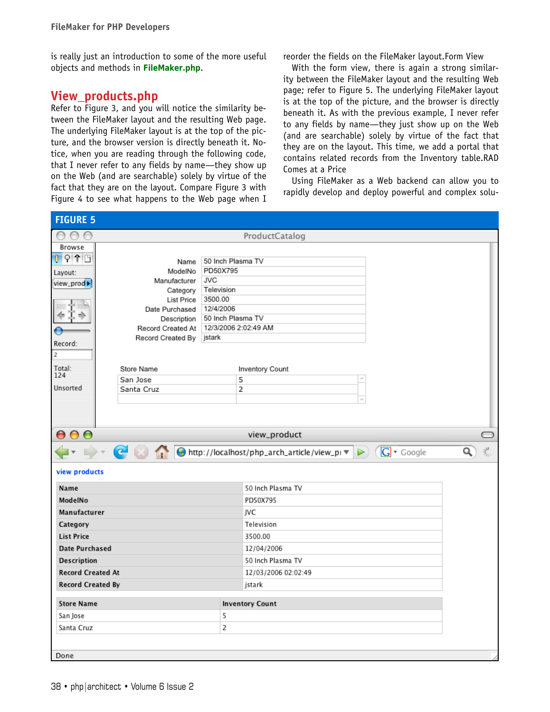is really just an introduction to some of the more useful objects and methods in **FileMaker.php**.

### View\_products.php

Refer to Figure 3, and you will notice the similarity between the FileMaker layout and the resulting Web page. The underlying FileMaker layout is at the top of the picture, and the browser version is directly beneath it. Notice, when you are reading through the following code, that I never refer to any fields by name—they show up on the Web (and are searchable) solely by virtue of the fact that they are on the layout. Compare Figure 3 with Figure 4 to see what happens to the Web page when I reorder the fields on the FileMaker layout.Form View

With the form view, there is again a strong similarity between the FileMaker layout and the resulting Web page; refer to Figure 5. The underlying FileMaker layout is at the top of the picture, and the browser is directly beneath it. As with the previous example, I never refer to any fields by name—they just show up on the Web (and are searchable) solely by virtue of the fact that they are on the layout. This time, we add a portal that contains related records from the Inventory table.RAD Comes at a Price

Using FileMaker as a Web backend can allow you to rapidly develop and deploy powerful and complex solu-

| <b>FIGURE 5</b>          |                              |                       |                                                                |        |
|--------------------------|------------------------------|-----------------------|----------------------------------------------------------------|--------|
| $\circ$<br>$\cap$ $\cap$ |                              |                       | ProductCatalog                                                 |        |
| Browse                   |                              |                       |                                                                |        |
| $0$ $9$ $1$ $B$          | Name                         | 50 Inch Plasma TV     |                                                                |        |
| Layout:                  | ModelNo                      | PD50X795              |                                                                |        |
| view_prod >              | Manufacturer                 | <b>JVC</b>            |                                                                |        |
|                          | Category                     | Television<br>3500.00 |                                                                |        |
|                          | List Price<br>Date Purchased | 12/4/2006             |                                                                |        |
|                          | Description                  |                       | 50 Inch Plasma TV                                              |        |
|                          | Record Created At            |                       | 12/3/2006 2:02:49 AM                                           |        |
| Record:                  | Record Created By jstark     |                       |                                                                |        |
| $\overline{2}$           |                              |                       |                                                                |        |
| Total:                   | Store Name                   |                       |                                                                |        |
| 124                      | San Jose                     |                       | <b>Inventory Count</b><br>5<br>$\mathcal{L}_{\mathcal{M}}$     |        |
| Unsorted                 | Santa Cruz                   |                       | $\overline{2}$                                                 |        |
|                          |                              |                       |                                                                |        |
|                          |                              |                       |                                                                |        |
|                          |                              |                       |                                                                |        |
| 000                      |                              |                       | view_product                                                   |        |
|                          |                              |                       | A C M O http://localhost/php_arch_article/view_pr D G T Google | 头<br>Q |
| view products            |                              |                       |                                                                |        |
| Name                     |                              |                       | 50 Inch Plasma TV                                              |        |
| ModelNo                  |                              |                       |                                                                |        |
|                          |                              |                       | PD50X795                                                       |        |
| Manufacturer             |                              |                       | JVC                                                            |        |
| Category                 |                              |                       | Television                                                     |        |
| <b>List Price</b>        |                              |                       | 3500.00                                                        |        |
| <b>Date Purchased</b>    |                              |                       | 12/04/2006                                                     |        |
| <b>Description</b>       |                              |                       | 50 Inch Plasma TV                                              |        |
| <b>Record Created At</b> |                              |                       | 12/03/2006 02:02:49                                            |        |
| <b>Record Created By</b> |                              |                       | jstark                                                         |        |
| <b>Store Name</b>        |                              |                       | <b>Inventory Count</b>                                         |        |
| San Jose                 |                              | 5                     |                                                                |        |
| Santa Cruz               |                              | 2                     |                                                                |        |
|                          |                              |                       |                                                                |        |